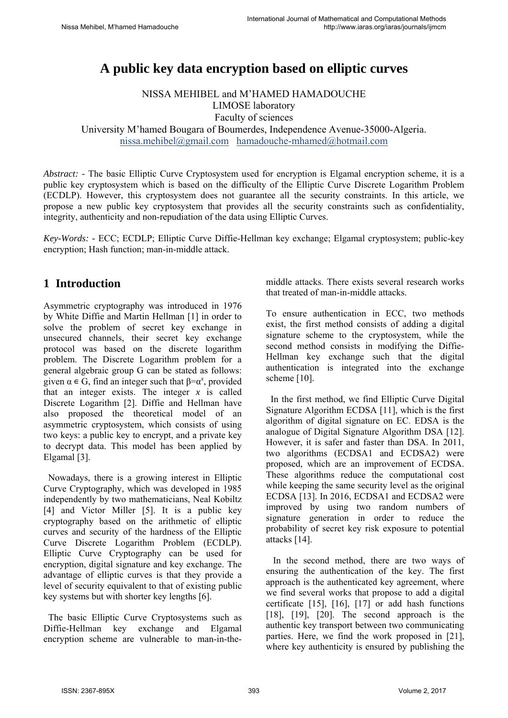# **A public key data encryption based on elliptic curves**

NISSA MEHIBEL and M'HAMED HAMADOUCHE LIMOSE laboratory

Faculty of sciences

University M'hamed Bougara of Boumerdes, Independence Avenue-35000-Algeria.

nissa.mehibel@gmail.com hamadouche-mhamed@hotmail.com

*Abstract: -* The basic Elliptic Curve Cryptosystem used for encryption is Elgamal encryption scheme, it is a public key cryptosystem which is based on the difficulty of the Elliptic Curve Discrete Logarithm Problem (ECDLP). However, this cryptosystem does not guarantee all the security constraints. In this article, we propose a new public key cryptosystem that provides all the security constraints such as confidentiality, integrity, authenticity and non-repudiation of the data using Elliptic Curves.

*Key-Words: -* ECC; ECDLP; Elliptic Curve Diffie-Hellman key exchange; Elgamal cryptosystem; public-key encryption; Hash function; man-in-middle attack.

## **1 Introduction**

Asymmetric cryptography was introduced in 1976 by White Diffie and Martin Hellman [1] in order to solve the problem of secret key exchange in unsecured channels, their secret key exchange protocol was based on the discrete logarithm problem. The Discrete Logarithm problem for a general algebraic group G can be stated as follows: given  $\alpha \in G$ , find an integer such that  $\beta = \alpha^x$ , provided that an integer exists. The integer  $x$  is called Discrete Logarithm [2]. Diffie and Hellman have also proposed the theoretical model of an asymmetric cryptosystem, which consists of using two keys: a public key to encrypt, and a private key to decrypt data. This model has been applied by Elgamal [3].

 Nowadays, there is a growing interest in Elliptic Curve Cryptography, which was developed in 1985 independently by two mathematicians, Neal Kobiltz [4] and Victor Miller [5]. It is a public key cryptography based on the arithmetic of elliptic curves and security of the hardness of the Elliptic Curve Discrete Logarithm Problem (ECDLP). Elliptic Curve Cryptography can be used for encryption, digital signature and key exchange. The advantage of elliptic curves is that they provide a level of security equivalent to that of existing public key systems but with shorter key lengths [6].

 The basic Elliptic Curve Cryptosystems such as Diffie-Hellman key exchange and Elgamal encryption scheme are vulnerable to man-in-themiddle attacks. There exists several research works that treated of man-in-middle attacks.

To ensure authentication in ECC, two methods exist, the first method consists of adding a digital signature scheme to the cryptosystem, while the second method consists in modifying the Diffie-Hellman key exchange such that the digital authentication is integrated into the exchange scheme [10].

 In the first method, we find Elliptic Curve Digital Signature Algorithm ECDSA [11], which is the first algorithm of digital signature on EC. EDSA is the analogue of Digital Signature Algorithm DSA [12]. However, it is safer and faster than DSA. In 2011, two algorithms (ECDSA1 and ECDSA2) were proposed, which are an improvement of ECDSA. These algorithms reduce the computational cost while keeping the same security level as the original ECDSA [13]. In 2016, ECDSA1 and ECDSA2 were improved by using two random numbers of signature generation in order to reduce the probability of secret key risk exposure to potential attacks [14].

 In the second method, there are two ways of ensuring the authentication of the key. The first approach is the authenticated key agreement, where we find several works that propose to add a digital certificate [15], [16], [17] or add hash functions [18], [19], [20]. The second approach is the authentic key transport between two communicating parties. Here, we find the work proposed in [21], where key authenticity is ensured by publishing the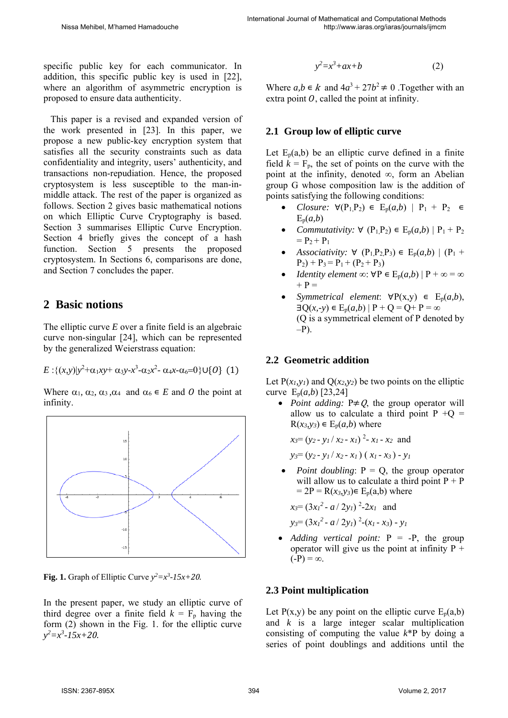specific public key for each communicator. In addition, this specific public key is used in [22], where an algorithm of asymmetric encryption is proposed to ensure data authenticity.

 This paper is a revised and expanded version of the work presented in [23]. In this paper, we propose a new public-key encryption system that satisfies all the security constraints such as data confidentiality and integrity, users' authenticity, and transactions non-repudiation. Hence, the proposed cryptosystem is less susceptible to the man-inmiddle attack. The rest of the paper is organized as follows. Section 2 gives basic mathematical notions on which Elliptic Curve Cryptography is based. Section 3 summarises Elliptic Curve Encryption. Section 4 briefly gives the concept of a hash function. Section 5 presents the proposed cryptosystem. In Sections 6, comparisons are done, and Section 7 concludes the paper.

## **2 Basic notions**

The elliptic curve *E* over a finite field is an algebraic curve non-singular [24], which can be represented by the generalized Weierstrass equation:

$$
E: \{(x,y)|y^2+\alpha_1xy+\alpha_3y-x^3-\alpha_2x^2-\alpha_4x-\alpha_6=0\} \cup \{0\} (1)
$$

Where  $\alpha_1$ ,  $\alpha_2$ ,  $\alpha_3$ ,  $\alpha_4$  and  $\alpha_6 \in E$  and O the point at infinity.



**Fig. 1.** Graph of Elliptic Curve  $y^2 = x^3 - 15x + 20$ .

In the present paper, we study an elliptic curve of third degree over a finite field  $k = F_p$  having the form (2) shown in the Fig. 1. for the elliptic curve *y2 =x3 -15x+20.*

$$
y^2 = x^3 + ax + b \tag{2}
$$

Where  $a, b \in k$  and  $4a^3 + 27b^2 \neq 0$ . Together with an extra point  $\theta$ , called the point at infinity.

### **2.1 Group low of elliptic curve**

Let  $E_p(a,b)$  be an elliptic curve defined in a finite field  $k = F_p$ , the set of points on the curve with the point at the infinity, denoted ∞, form an Abelian group G whose composition law is the addition of points satisfying the following conditions:

- *Closure:*  $\forall (P_1, P_2) \in E_p(a, b) | P_1 + P_2 \in$  $E_p(a,b)$
- *Commutativity:*  $\forall$  (P<sub>1</sub>P<sub>2</sub>)  $\in$  E<sub>p</sub>(*a,b*) | P<sub>1</sub> + P<sub>2</sub>  $= P_2 + P_1$
- *Associativity:*  $\forall$  (P<sub>1</sub>, P<sub>2</sub>, P<sub>3</sub>) ∈ E<sub>p</sub>(*a, b*) | (P<sub>1</sub> +  $P_2$ ) +  $P_3$  =  $P_1$  +  $(P_2 + P_3)$
- *Identity element*  $\infty$ :  $\forall P \in E_p(a,b) | P + \infty = \infty$  $+ P =$
- *Symmetrical element*:  $\forall P(x,y) \in E_p(a,b)$ ,  $\exists Q(x, -y) \in E_p(a, b) | P + Q = Q + P = \infty$ (Q is a symmetrical element of P denoted by  $-P$ ).

### **2.2 Geometric addition**

Let  $P(x_1, y_1)$  and  $Q(x_2, y_2)$  be two points on the elliptic curve Ep(*a,b*) [23,24]

• *Point adding:*  $P \neq Q$ , the group operator will allow us to calculate a third point  $P + Q =$  $R(x_3, y_3) \in E_p(a, b)$  where

$$
x_3 = (y_2 - y_1 / x_2 - x_1)^2 - x_1 - x_2
$$
 and  

$$
y_3 = (y_2 - y_1 / x_2 - x_1) (x_1 - x_3) - y_1
$$

*Point doubling*:  $P = Q$ , the group operator will allow us to calculate a third point  $P + P$  $= 2P = R(x_3, y_3) \in E_p(a,b)$  where

$$
x_3 = (3x_1^2 - a/2y_1)^2 - 2x_1
$$
 and

$$
y_3 = (3x_1^2 - a/2y_1)^2 - (x_1 - x_3) - y_1
$$

 *Adding vertical point:* P = -P, the group operator will give us the point at infinity  $P +$  $(-P) = \infty$ .

### **2.3 Point multiplication**

Let P(x,y) be any point on the elliptic curve  $E_p(a,b)$ and *k* is a large integer scalar multiplication consisting of computing the value *k*\*P by doing a series of point doublings and additions until the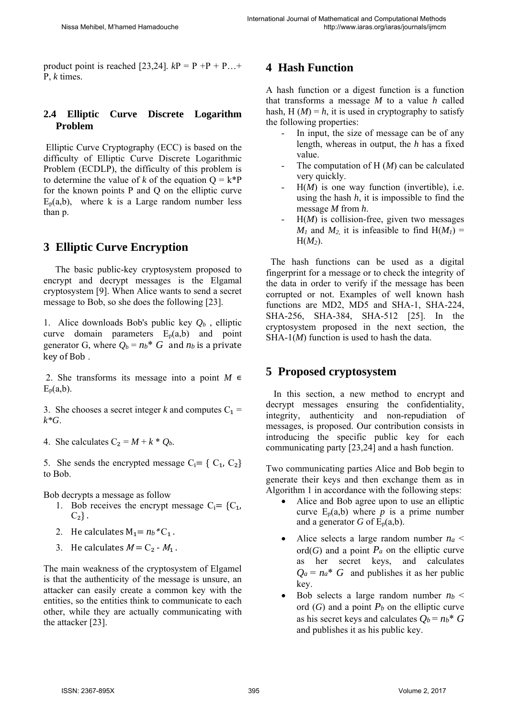product point is reached [23,24].  $kP = P + P + P$ ...+ P, *k* times.

### **2.4 Elliptic Curve Discrete Logarithm Problem**

 Elliptic Curve Cryptography (ECC) is based on the difficulty of Elliptic Curve Discrete Logarithmic Problem (ECDLP), the difficulty of this problem is to determine the value of *k* of the equation  $Q = k^*P$ for the known points P and Q on the elliptic curve  $E_p(a,b)$ , where k is a Large random number less than p.

## **3 Elliptic Curve Encryption**

 The basic public-key cryptosystem proposed to encrypt and decrypt messages is the Elgamal cryptosystem [9]. When Alice wants to send a secret message to Bob, so she does the following [23].

1. Alice downloads Bob's public key  $Q_b$ , elliptic curve domain parameters  $E_p(a,b)$  and point generator G, where  $Q_b = nb^*$  G and  $nb$  is a private key of Bob.

2. She transforms its message into a point  $M \in$  $E_p(a,b)$ .

3. She chooses a secret integer k and computes  $C_1$  = *k\*G*.

4. She calculates  $C_2 = M + k * Q_b$ .

5. She sends the encrypted message  $C_i = \{C_1, C_2\}$ to Bob.

Bob decrypts a message as follow

- 1. Bob receives the encrypt message  $C_i = \{C_1, C_2, \ldots, C_n\}$  $C_2$ .
- 2. He calculates  $M_1 = n_b * C_1$ .
- 3. He calculates  $M = C_2 M_1$ .

The main weakness of the cryptosystem of Elgamel is that the authenticity of the message is unsure, an attacker can easily create a common key with the entities, so the entities think to communicate to each other, while they are actually communicating with the attacker [23].

## **4 Hash Function**

A hash function or a digest function is a function that transforms a message *M* to a value *h* called hash,  $H(M) = h$ , it is used in cryptography to satisfy the following properties:

- In input, the size of message can be of any length, whereas in output, the *h* has a fixed value.
- The computation of H (*M*) can be calculated very quickly.
- H(*M*) is one way function (invertible), i.e. using the hash *h*, it is impossible to find the message *M* from *h*.
- $H(M)$  is collision-free, given two messages  $M_1$  and  $M_2$  it is infeasible to find  $H(M_1) =$ H(*M2*).

 The hash functions can be used as a digital fingerprint for a message or to check the integrity of the data in order to verify if the message has been corrupted or not. Examples of well known hash functions are MD2, MD5 and SHA-1, SHA-224, SHA-256, SHA-384, SHA-512 [25]. In the cryptosystem proposed in the next section, the SHA-1(*M*) function is used to hash the data.

## **5 Proposed cryptosystem**

 In this section, a new method to encrypt and decrypt messages ensuring the confidentiality, integrity, authenticity and non-repudiation of messages, is proposed. Our contribution consists in introducing the specific public key for each communicating party [23,24] and a hash function.

Two communicating parties Alice and Bob begin to generate their keys and then exchange them as in Algorithm 1 in accordance with the following steps:

- Alice and Bob agree upon to use an elliptic curve  $E_p(a,b)$  where *p* is a prime number and a generator *G* of  $E_p(a,b)$ .
- Alice selects a large random number  $n_a$  <  $\text{ord}(G)$  and a point  $P_a$  on the elliptic curve as her secret keys, and calculates  $Q_a = n_a^*$  *G* and publishes it as her public key.
- Bob selects a large random number  $n_b$  < ord  $(G)$  and a point  $P_b$  on the elliptic curve as his secret keys and calculates  $Q_b = nb^*$  *G* and publishes it as his public key.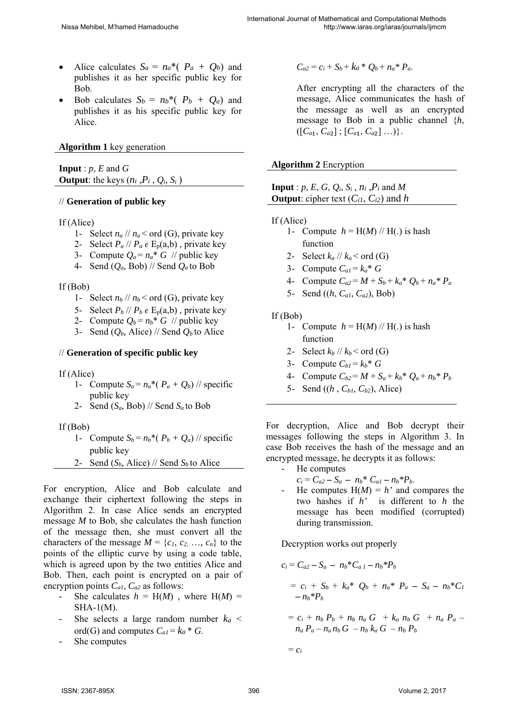- Alice calculates  $S_a = na^*(P_a + Q_b)$  and publishes it as her specific public key for Bob.
- Bob calculates  $S_b = nb^*(P_b + O_a)$  and publishes it as his specific public key for Alice.

#### **Algorithm 1** key generation

**Input** :  $p$ ,  $E$  and  $G$ **Output**: the keys  $(n_i, P_i, Q_i, S_i)$ 

#### // **Generation of public key**

If (Alice)

- 1- Select  $n_a$  //  $n_a$  < ord (G), private key
- 2- Select  $P_a$  //  $P_a \in E_p(a,b)$ , private key
- 3- Compute  $Q_a = n_a * G$  // public key
- 4- Send (*Qa,* Bob) // Send *Qa* to Bob

#### If (Bob)

- 1- Select  $n_b$  //  $n_b$  < ord (G), private key
- 5- Select  $P_b$  //  $P_b \in E_p(a,b)$ , private key
- 2- Compute  $Q_b = n_b * G$  // public key
- 3- Send  $(Q_b, \text{ Alice})$  // Send  $Q_b$  to Alice

#### // **Generation of specific public key**

If (Alice)

- 1- Compute  $S_a = n_a * (P_a + Q_b)$  // specific public key
- 2- Send (*Sa,* Bob) // Send *Sa* to Bob

If (Bob)

- 1- Compute  $S_b = n_b$ <sup>\*</sup>( $P_b + Q_a$ ) // specific public key
- 2- Send  $(S_b, \text{ Alice})$  // Send  $S_b$  to Alice

For encryption, Alice and Bob calculate and exchange their ciphertext following the steps in Algorithm 2. In case Alice sends an encrypted message *M* to Bob, she calculates the hash function of the message then, she must convert all the characters of the message  $M = \{c_1, c_2, \ldots, c_n\}$  to the points of the elliptic curve by using a code table, which is agreed upon by the two entities Alice and Bob. Then, each point is encrypted on a pair of encryption points *Ca1*, *Ca2* as follows:

- She calculates  $h = H(M)$ , where  $H(M) =$ SHA-1(M).
- She selects a large random number  $k_a$  < ord(G) and computes  $C_{aI} = ka * G$ .
- *-* She computes

 $C_{a2} = c_i + S_b + k_a * O_b + n_a * P_a$ .

After encrypting all the characters of the message, Alice communicates the hash of the message as well as an encrypted message to Bob in a public channel {*h*,  $([C_{a1}, C_{a2}]$ ;  $[C_{a1}, C_{a2}]$  ...).

#### **Algorithm 2** Encryption

| <b>Input</b> : p, E, G, Q <sub>i</sub> , S <sub>i</sub> , n <sub>i</sub> , P <sub>i</sub> and M |  |
|-------------------------------------------------------------------------------------------------|--|
| <b>Output</b> : cipher text $(C_{i1}, C_{i2})$ and h                                            |  |

- If (Alice)
	- 1- Compute  $h = H(M)$  // H(.) is hash function
	- 2- Select  $k_a$  //  $k_a$  < ord (G)
	- 3- Compute  $C_{a1} = k_a * G$
	- 4- Compute  $C_{a2} = M + S_b + k_a^* Q_b + n_a^* P_a$
	- 5- Send ((*h*, *Ca1, Ca2*), Bob)

#### If (Bob)

- 1- Compute  $h = H(M)$  // H(.) is hash function
- 2- Select  $k_b$  //  $k_b$  < ord (G)
- 3- Compute  $C_{b1} = k_b * G$
- 4- Compute  $C_{b2} = M + S_a + k_b * Q_a + n_b * P_b$
- 5- Send ((*h* , *Cb1, Cb2*), Alice)

For decryption, Alice and Bob decrypt their messages following the steps in Algorithm 3. In case Bob receives the hash of the message and an encrypted message, he decrypts it as follows:

- *-* He computes
	- $c_i = C_{a2} S_a n_b * C_{a1} n_b * P_b.$
- *-* He computes H(*M*) = *h'* and compares the two hashes if *h'* is different to *h* the message has been modified (corrupted) during transmission.

Decryption works out properly

$$
c_i = C_{a2} - S_a - n_b * C_{a1} - n_b * P_b
$$
  
=  $c_i + S_b + k_a * Q_b + n_a * P_a - S_a - n_b * C_l$   
-  $n_b * P_b$ 

 $= c_i + n_b P_b + n_b n_a G + k_a n_b G + n_a P_a$  $n_a P_a - n_a n_b G - n_b k_a G - n_b P_b$ 

 $=c_i$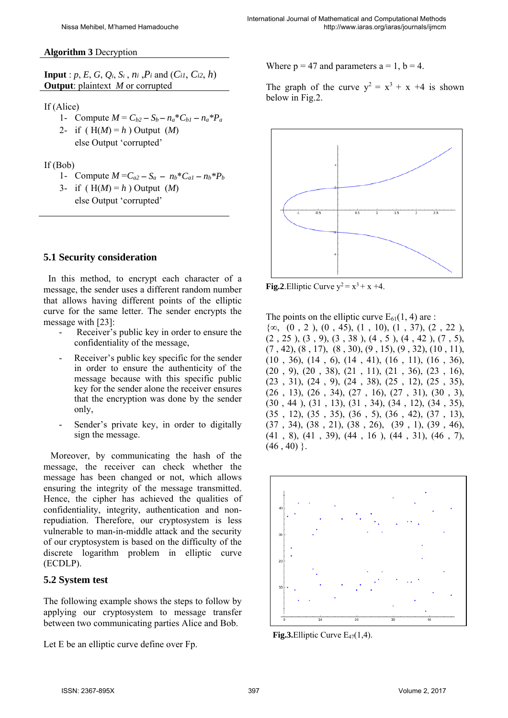#### **Algorithm 3** Decryption

**Input** :  $p, E, G, Q_i, S_i, n_i, P_i$  and  $(C_{i1}, C_{i2}, h)$ **Output**: plaintext *M* or corrupted

#### If (Alice)

- 1- Compute  $M = C_{b2} S_b n_a * C_{b1} n_a * P_a$
- 2- if  $(H(M) = h)$  Output  $(M)$
- else Output 'corrupted'

#### If (Bob)

- 1- Compute  $M = C_{a2} S_a n_b * C_{a1} n_b * P_b$ 3- if  $(H(M) = h)$  Output  $(M)$ 
	- else Output 'corrupted'

### **5.1 Security consideration**

 In this method, to encrypt each character of a message, the sender uses a different random number that allows having different points of the elliptic curve for the same letter. The sender encrypts the message with [23]:

- *-* Receiver's public key in order to ensure the confidentiality of the message,
- *-* Receiver's public key specific for the sender in order to ensure the authenticity of the message because with this specific public key for the sender alone the receiver ensures that the encryption was done by the sender only,
- Sender's private key, in order to digitally sign the message.

 Moreover, by communicating the hash of the message, the receiver can check whether the message has been changed or not, which allows ensuring the integrity of the message transmitted. Hence, the cipher has achieved the qualities of confidentiality, integrity, authentication and nonrepudiation. Therefore, our cryptosystem is less vulnerable to man-in-middle attack and the security of our cryptosystem is based on the difficulty of the discrete logarithm problem in elliptic curve (ECDLP).

#### **5.2 System test**

The following example shows the steps to follow by applying our cryptosystem to message transfer between two communicating parties Alice and Bob.

Let E be an elliptic curve define over Fp.

Where  $p = 47$  and parameters  $a = 1$ ,  $b = 4$ .

The graph of the curve  $y^2 = x^3 + x + 4$  is shown below in Fig.2.



**Fig.2**.Elliptic Curve  $y^2 = x^3 + x + 4$ .

The points on the elliptic curve  $E_{61}(1, 4)$  are :

 ${\omega, (0, 2), (0, 45), (1, 10), (1, 37), (2, 22)}$  $(2, 25), (3, 9), (3, 38), (4, 5), (4, 42), (7, 5),$  $(7, 42), (8, 17), (8, 30), (9, 15), (9, 32), (10, 11),$ (10 , 36), (14 , 6), (14 , 41), (16 , 11), (16 , 36), (20 , 9), (20 , 38), (21 , 11), (21 , 36), (23 , 16), (23 , 31), (24 , 9), (24 , 38), (25 , 12), (25 , 35),  $(26, 13), (26, 34), (27, 16), (27, 31), (30, 3),$ (30 , 44 ), (31 , 13), (31 , 34), (34 , 12), (34 , 35), (35 , 12), (35 , 35), (36 , 5), (36 , 42), (37 , 13), (37 , 34), (38 , 21), (38 , 26), (39 , 1), (39 , 46),  $(41, 8), (41, 39), (44, 16), (44, 31), (46, 7),$  $(46, 40)$  }.



**Fig.3.**Elliptic Curve  $E_{47}(1,4)$ .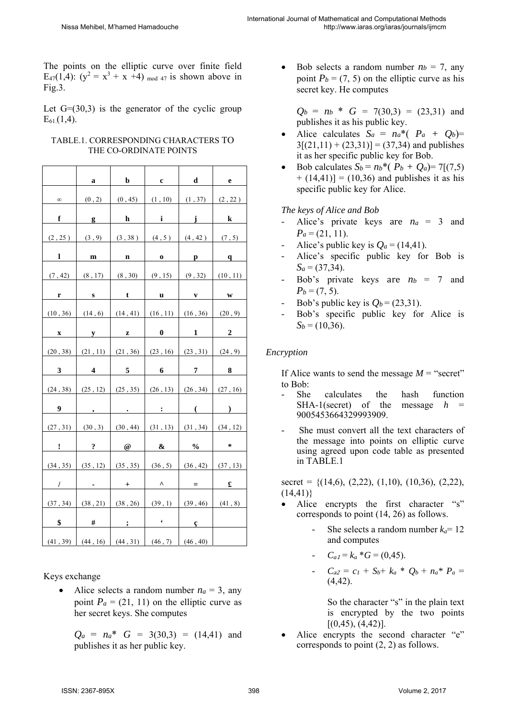The points on the elliptic curve over finite field E<sub>47</sub>(1,4):  $(y^2 = x^3 + x +4)$  <sub>mod 47</sub> is shown above in Fig.3.

Let  $G=(30,3)$  is the generator of the cyclic group  $E_{61}(1,4)$ .

|                | a                                                           | $\mathbf b$                           | $\mathbf c$                  | d                | e                    |
|----------------|-------------------------------------------------------------|---------------------------------------|------------------------------|------------------|----------------------|
| $\infty$       | (0, 2)                                                      | (0, 45)                               | (1, 10)                      | (1, 37)          | (2, 22)              |
| f              |                                                             | h                                     | i                            | j                | $\bf k$              |
|                | $\bf{g}$                                                    |                                       |                              |                  |                      |
| (2, 25)        |                                                             |                                       | $(3,9)$ $(3,38)$ $(4,5)$     | (4, 42)          | (7, 5)               |
| 1              | ${\bf m}$                                                   | $\mathbf n$                           | $\mathbf{0}$                 | $\mathbf{p}$     | $\mathbf{q}$         |
| (7, 42)        | (8, 17)                                                     | (8, 30)                               | (9, 15)                      | (9, 32)          | (10, 11)             |
| r              | $\mathbf{s}$                                                | t                                     | u                            | $\mathbf{V}$     | $\mathbf{W}$         |
| (10, 36)       |                                                             | $(14, 6)$ $(14, 41)$                  | (16, 11)                     | (16, 36)         | (20, 9)              |
| X              | ${\bf y}$                                                   | $\mathbf{z}$                          | $\boldsymbol{0}$             | $1 \quad$        | $\boldsymbol{2}$     |
| (20, 38)       | (21, 11)                                                    | (21, 36)                              | (23, 16)                     | (23, 31)         | (24, 9)              |
|                |                                                             |                                       |                              |                  |                      |
| 3              | $\overline{\mathbf{4}}$                                     | 5                                     | $\boldsymbol{6}$             | $\pmb{7}$        | 8                    |
| (24, 38)       | (25, 12)                                                    | (25, 35)                              | (26, 13)                     | (26, 34)         | (27, 16)             |
| 9              | $\bullet$                                                   | $\bullet$ .                           | $\mathbf{L}$                 | $\left($         | $\mathcal{L}$        |
| (27, 31)       | (30, 3)                                                     | (30, 44)                              | (31, 13)                     | (31, 34)         | (34, 12)             |
|                |                                                             |                                       |                              |                  | $\ast$               |
| ı<br>(34, 35)  | $\ddot{\textbf{.}}$<br>(35, 12)                             | $^\text{\textregistered}$<br>(35, 35) | $\boldsymbol{\&}$<br>(36, 5) | $\%$<br>(36, 42) | (37, 13)             |
| T              | $\bullet$ .<br><br><br><br><br><br><br><br><br><br><br><br> | $^{+}$                                | $\boldsymbol{\wedge}$        | $=$              | $\pmb{\mathfrak{L}}$ |
|                | (38, 21)                                                    | (38, 26)                              | (39, 1)                      | (39, 46)         |                      |
| (37, 34)<br>\$ | #                                                           | $\cdot$ ;                             | $\sim 100$ $\mu$             | $\mathbf{C}$     | (41, 8)              |

#### TABLE.1. CORRESPONDING CHARACTERS TO THE CO-ORDINATE POINTS

Keys exchange

• Alice selects a random number  $n_a = 3$ , any point  $P_a = (21, 11)$  on the elliptic curve as her secret keys. She computes

 $Q_a = n_a^*$  *G* = 3(30,3) = (14,41) and publishes it as her public key.

Bob selects a random number  $n_b = 7$ , any point  $P_b = (7, 5)$  on the elliptic curve as his secret key. He computes

 $Q_b = n_b * G = 7(30,3) = (23,31)$  and publishes it as his public key.

- Alice calculates  $S_a = n_a * (P_a + Q_b) =$  $3[(21,11) + (23,31)] = (37,34)$  and publishes it as her specific public key for Bob.
- Bob calculates  $S_b = n_b * (P_b + Q_a) = 7[(7.5)]$  $+(14,41)$ ] = (10,36) and publishes it as his specific public key for Alice.

#### *The keys of Alice and Bob*

- Alice's private keys are  $n_a = 3$  and  $P_a = (21, 11)$ .
- Alice's public key is  $Q_a = (14, 41)$ .
- *-* Alice's specific public key for Bob is  $S_a = (37,34)$ .
- Bob's private keys are  $n_b = 7$  and  $P_b = (7, 5)$ .
- Bob's public key is  $Q_b = (23,31)$ .
- *-* Bob's specific public key for Alice is  $S_b = (10, 36)$ .

### *Encryption*

If Alice wants to send the message  $M =$  "secret" to Bob:

- She calculates the hash function SHA-1(secret) of the message  $h =$ 9005453664329993909.
- *-* She must convert all the text characters of the message into points on elliptic curve using agreed upon code table as presented in TABLE.1

secret =  $\{(14,6), (2,22), (1,10), (10,36), (2,22),$  $(14,41)$ 

- Alice encrypts the first character "s" corresponds to point (14, 26) as follows.
	- She selects a random number  $k_a$ = 12 and computes
	- *-*  $C_{a1} = k_a * G = (0.45)$ .
	- $C_{a2} = c_1 + S_b + k_a * Q_b + n_a * P_a =$  $(4, 42)$ .

So the character "s" in the plain text is encrypted by the two points  $[(0,45), (4,42)].$ 

 Alice encrypts the second character "e" corresponds to point (2, 2) as follows.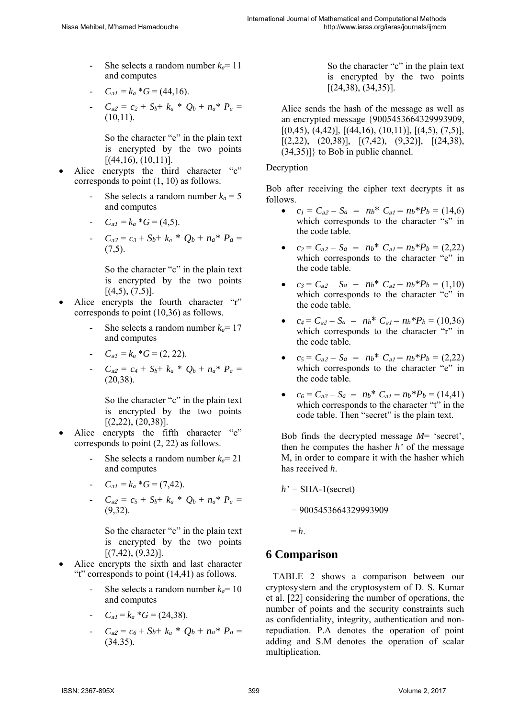- She selects a random number  $k_a$ = 11 and computes
- *-*  $C_{a1} = k_a * G = (44.16).$
- $C_{a2} = c_2 + S_b + k_a * Q_b + n_a * P_a =$  $(10,11)$ .

So the character "e" in the plain text is encrypted by the two points  $[(44,16), (10,11)].$ 

- Alice encrypts the third character "c" corresponds to point (1, 10) as follows.
	- She selects a random number  $k_a = 5$ and computes
	- *-*  $C_{a1} = k_a * G = (4.5).$
	- *-*  $C_{a2} = c_3 + S_b + k_a * O_b + n_a * P_a =$  $(7.5)$ .

So the character "c" in the plain text is encrypted by the two points  $[(4,5), (7,5)].$ 

- Alice encrypts the fourth character "r" corresponds to point (10,36) as follows.
	- She selects a random number  $k_a$ = 17 and computes
	- $C_{a1} = k_a * G = (2, 22).$
	- *-*  $C_{a2} = c_4 + S_b + k_a * Q_b + n_a * P_a =$ (20,38).

So the character "c" in the plain text is encrypted by the two points  $[(2,22), (20,38)].$ 

- Alice encrypts the fifth character "e" corresponds to point (2, 22) as follows.
	- She selects a random number  $k_a$ = 21 and computes
	- *-*  $C_{a1} = k_a * G = (7, 42).$
	- $C_{a2} = c_5 + S_b + k_a * Q_b + n_a * P_a =$ (9,32).

So the character "c" in the plain text is encrypted by the two points  $[(7,42), (9,32)].$ 

- Alice encrypts the sixth and last character "t" corresponds to point (14,41) as follows.
	- *-* She selects a random number *ka*= 10 and computes
	- *-*  $C_{a1} = k_a * G = (24.38).$
	- $C_{a2} = c_6 + S_b + k_a * O_b + n_a * P_a =$  $(34,35)$

So the character "c" in the plain text is encrypted by the two points  $[(24,38), (34,35)].$ 

Alice sends the hash of the message as well as an encrypted message {9005453664329993909,  $[(0,45), (4,42)], [(44,16), (10,11)], [(4,5), (7,5)],$  $[(2,22), (20,38)], [(7,42), (9,32)], [(24,38),$ (34,35)]} to Bob in public channel.

#### Decryption

Bob after receiving the cipher text decrypts it as follows.

- $c_1 = C_{a2} S_a n_b$ <sup>\*</sup>  $C_{a1} n_b$ <sup>\*</sup> $P_b = (14,6)$ which corresponds to the character "s" in the code table.
- $c_2 = C_{a2} S_a nb^* C_{a1} nb^* P_b = (2,22)$ which corresponds to the character "e" in the code table.
- $c_3 = C_{a2} S_a nb^* C_{a1} nb^*P_b = (1,10)$ which corresponds to the character "c" in the code table.
- $c_4 = C_{a2} S_a nb^* C_{a1} nb^* P_b = (10,36)$ which corresponds to the character "r" in the code table.
- $c_5 = C_{a2} S_a nb^* C_{a1} nb^* P_b = (2,22)$ which corresponds to the character "e" in the code table.
- $c_6 = C_{a2} S_a nb^* C_{a1} nb^* P_b = (14, 41)$ which corresponds to the character "t" in the code table. Then "secret" is the plain text.

Bob finds the decrypted message *M*= 'secret', then he computes the hasher *h'* of the message M, in order to compare it with the hasher which has received *h*.

 $h' = SHA-1$ (secret)

 *=* 9005453664329993909

 $= h$ .

## **6 Comparison**

 TABLE 2 shows a comparison between our cryptosystem and the cryptosystem of D. S. Kumar et al. [22] considering the number of operations, the number of points and the security constraints such as confidentiality, integrity, authentication and nonrepudiation. P.A denotes the operation of point adding and S.M denotes the operation of scalar multiplication.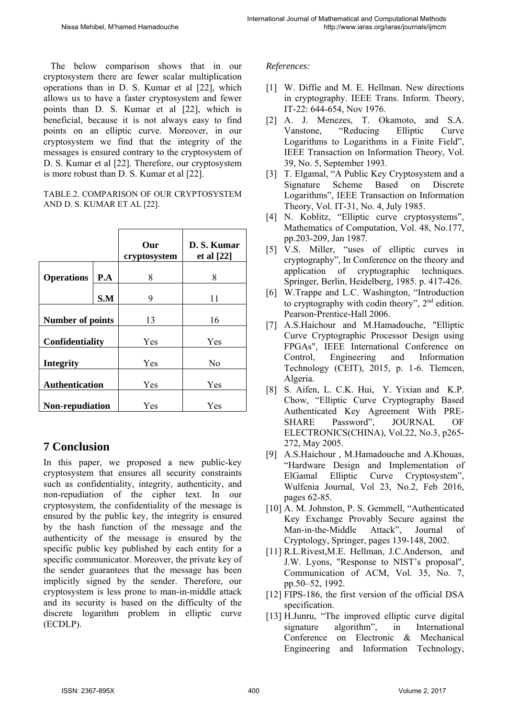The below comparison shows that in our cryptosystem there are fewer scalar multiplication operations than in D. S. Kumar et al [22], which allows us to have a faster cryptosystem and fewer points than D. S. Kumar et al [22], which is beneficial, because it is not always easy to find points on an elliptic curve. Moreover, in our cryptosystem we find that the integrity of the messages is ensured contrary to the cryptosystem of D. S. Kumar et al [22]. Therefore, our cryptosystem is more robust than D. S. Kumar et al [22].

#### TABLE.2. COMPARISON OF OUR CRYPTOSYSTEM AND D. S. KUMAR ET AL [22].

|                         |     | Our<br>cryptosystem | D. S. Kumar<br>et al [22] |
|-------------------------|-----|---------------------|---------------------------|
| <b>Operations</b>       | P.A | 8                   | 8                         |
|                         | S.M | 9                   | 11                        |
| <b>Number of points</b> |     | 13                  | 16                        |
| Confidentiality         |     | Yes                 | Yes                       |
| <b>Integrity</b>        |     | Yes                 | No                        |
| <b>Authentication</b>   |     | Yes                 | Yes                       |
| <b>Non-repudiation</b>  |     | Yes                 | Yes                       |

## **7 Conclusion**

In this paper, we proposed a new public-key cryptosystem that ensures all security constraints such as confidentiality, integrity, authenticity, and non-repudiation of the cipher text. In our cryptosystem, the confidentiality of the message is ensured by the public key, the integrity is ensured by the hash function of the message and the authenticity of the message is ensured by the specific public key published by each entity for a specific communicator. Moreover, the private key of the sender guarantees that the message has been implicitly signed by the sender. Therefore, our cryptosystem is less prone to man-in-middle attack and its security is based on the difficulty of the discrete logarithm problem in elliptic curve (ECDLP).

### *References:*

- [1] W. Diffie and M. E. Hellman. New directions in cryptography. IEEE Trans. Inform. Theory, IT-22: 644-654, Nov 1976.
- [2] A. J. Menezes, T. Okamoto, and S.A. Vanstone, "Reducing Elliptic Curve Logarithms to Logarithms in a Finite Field", IEEE Transaction on Information Theory, Vol. 39, No. 5, September 1993.
- [3] T. Elgamal, "A Public Key Cryptosystem and a Signature Scheme Based on Discrete Logarithms", IEEE Transaction on Information Theory, Vol. IT-31, No. 4, July 1985.
- [4] N. Koblitz, "Elliptic curve cryptosystems", Mathematics of Computation, Vol. 48, No.177, pp.203-209, Jan 1987.
- [5] V.S. Miller, "uses of elliptic curves in cryptography", In Conference on the theory and application of cryptographic techniques. Springer, Berlin, Heidelberg, 1985. p. 417-426.
- [6] W.Trappe and L.C. Washington, "Introduction to cryptography with codin theory", 2nd edition. Pearson-Prentice-Hall 2006.
- [7] A.S.Haichour and M.Hamadouche, "Elliptic Curve Cryptographic Processor Design using FPGAs", IEEE International Conference on Control, Engineering and Information Technology (CEIT), 2015, p. 1-6. Tlemcen, Algeria.
- [8] S. Aifen, L. C.K. Hui, Y. Yixian and K.P. Chow, "Elliptic Curve Cryptography Based Authenticated Key Agreement With PRE-SHARE Password", JOURNAL OF ELECTRONICS(CHINA), Vol.22, No.3, p265- 272, May 2005.
- [9] A.S.Haichour , M.Hamadouche and A.Khouas, "Hardware Design and Implementation of ElGamal Elliptic Curve Cryptosystem", Wulfenia Journal, Vol 23, No.2, Feb 2016, pages 62-85.
- [10] A. M. Johnston, P. S. Gemmell, "Authenticated Key Exchange Provably Secure against the Man-in-the-Middle Attack", Journal of Cryptology, Springer, pages 139-148, 2002.
- [11] R.L.Rivest, M.E. Hellman, J.C.Anderson, and J.W. Lyons, "Response to NIST's proposal", Communication of ACM, Vol. 35, No. 7, pp.50–52, 1992.
- [12] FIPS-186, the first version of the official DSA specification.
- [13] H.Junru, "The improved elliptic curve digital signature algorithm", in International Conference on Electronic & Mechanical Engineering and Information Technology,